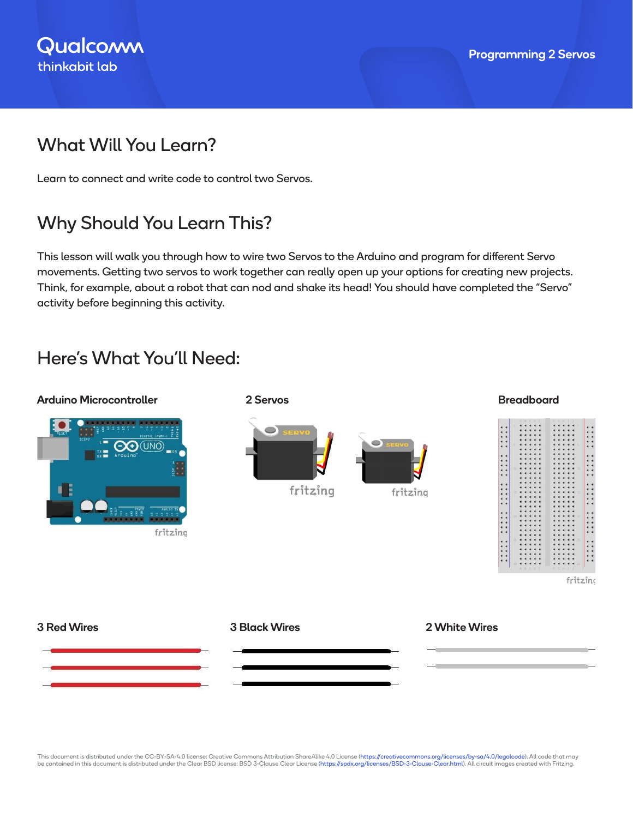## What Will You Learn?

Learn to connect and write code to control two Servos.

# Why Should You Learn This?

This lesson will walk you through how to wire two Servos to the Arduino and program for different Servo movements. Getting two servos to work together can really open up your options for creating new projects. Think, for example, about a robot that can nod and shake its head! You should have completed the "Servo" activity before beginning this activity.

## Here's What You'll Need:

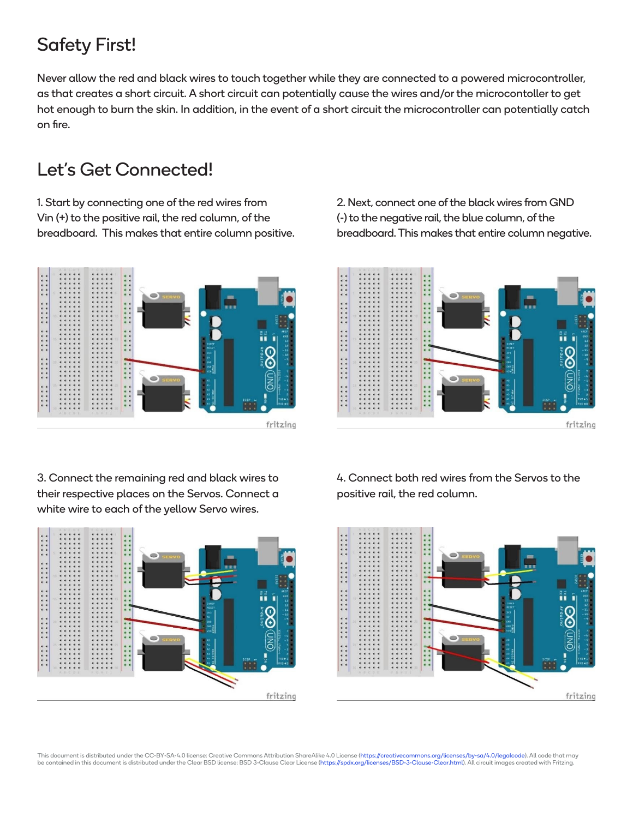# Safety First!

Never allow the red and black wires to touch together while they are connected to a powered microcontroller, as that creates a short circuit. A short circuit can potentially cause the wires and/or the microcontoller to get hot enough to burn the skin. In addition, in the event of a short circuit the microcontroller can potentially catch on fire.

#### Let's Get Connected!

1. Start by connecting one of the red wires from Vin (+) to the positive rail, the red column, of the breadboard. This makes that entire column positive.



2. Next, connect one of the black wires from GND (-) to the negative rail, the blue column, of the breadboard. This makes that entire column negative.



3. Connect the remaining red and black wires to their respective places on the Servos. Connect a white wire to each of the yellow Servo wires.



4. Connect both red wires from the Servos to the positive rail, the red column.

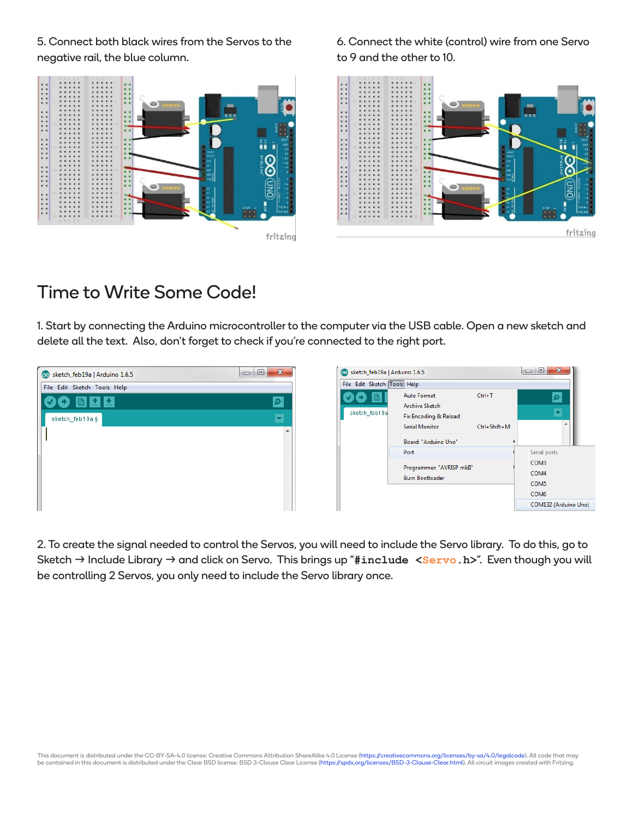5. Connect both black wires from the Servos to the negative rail, the blue column.

**EXAMPLE** ...... ...... ...... ..... fritzing 6. Connect the white (control) wire from one Servo to 9 and the other to 10.



#### Time to Write Some Code!

1. Start by connecting the Arduino microcontroller to the computer via the USB cable. Open a new sketch and delete all the text. Also, don't forget to check if you're connected to the right port.

| co sketch_feb19a   Arduino 1.6.5 | $\mathbf{x}$<br>▣<br>$\Box$ | co sketch_feb1  |
|----------------------------------|-----------------------------|-----------------|
| File Edit Sketch Tools Help      |                             | File Edit Sketo |
| M.<br><b>Room</b>                | ு                           | B               |
| sketch_feb19a §                  |                             | sketch_feb1     |
|                                  | A.                          |                 |
|                                  |                             |                 |
|                                  |                             |                 |
|                                  |                             |                 |
|                                  |                             |                 |



2. To create the signal needed to control the Servos, you will need to include the Servo library. To do this, go to Sketch → Include Library → and click on Servo. This brings up "#include <Servo.h>". Even though you will be controlling 2 Servos, you only need to include the Servo library once.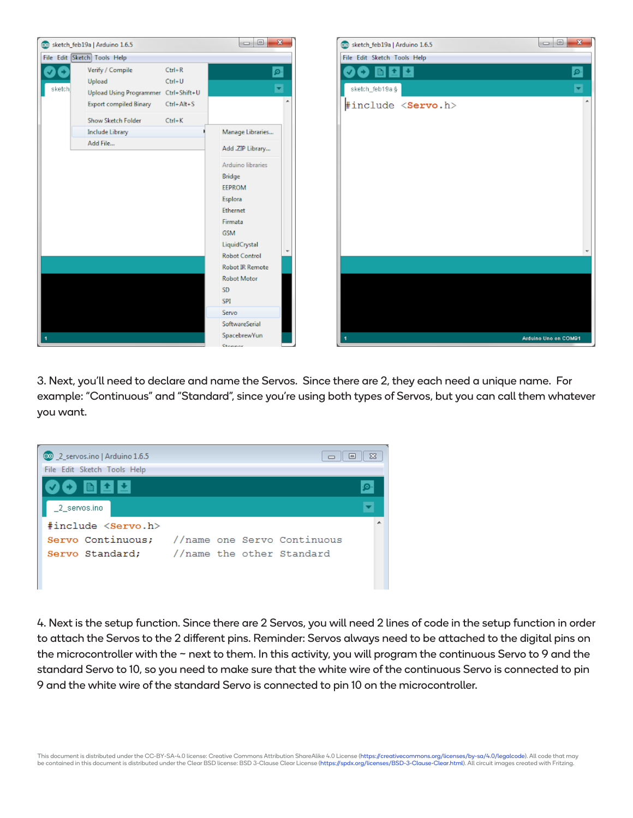

3. Next, you'll need to declare and name the Servos. Since there are 2, they each need a unique name. For example: "Continuous" and "Standard", since you're using both types of Servos, but you can call them whatever you want.



4. Next is the setup function. Since there are 2 Servos, you will need 2 lines of code in the setup function in order to attach the Servos to the 2 different pins. Reminder: Servos always need to be attached to the digital pins on the microcontroller with the ~ next to them. In this activity, you will program the continuous Servo to 9 and the standard Servo to 10, so you need to make sure that the white wire of the continuous Servo is connected to pin 9 and the white wire of the standard Servo is connected to pin 10 on the microcontroller.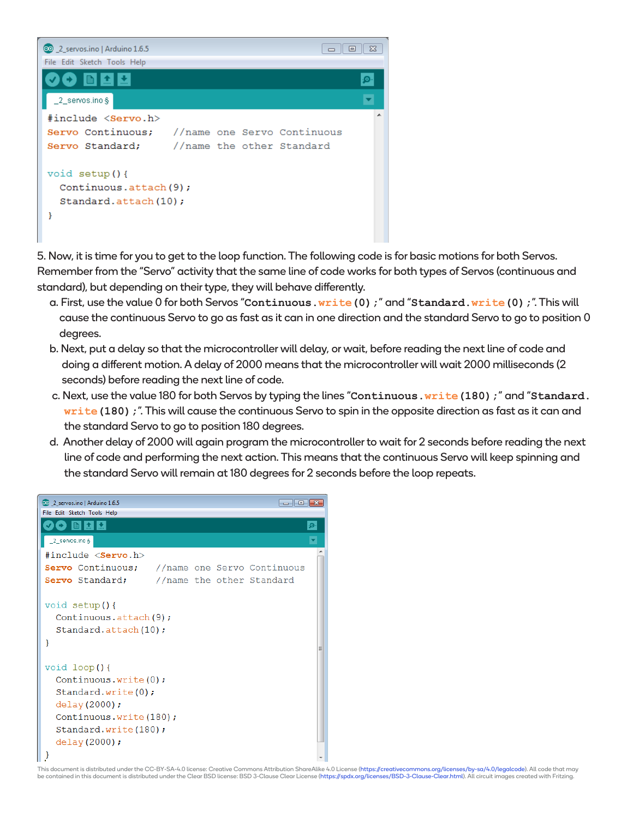

5. Now, it is time for you to get to the loop function. The following code is for basic motions for both Servos. Remember from the "Servo" activity that the same line of code works for both types of Servos (continuous and standard), but depending on their type, they will behave differently.

- a. First, use the value 0 for both Servos "**Continuous.write(0);**" and "**Standard.write(0);**". This will cause the continuous Servo to go as fast as it can in one direction and the standard Servo to go to position 0 degrees.
- b. Next, put a delay so that the microcontroller will delay, or wait, before reading the next line of code and doing a different motion. A delay of 2000 means that the microcontroller will wait 2000 milliseconds (2 seconds) before reading the next line of code.
- c. Next, use the value 180 for both Servos by typing the lines "**Continuous.write(180);**" and "**Standard.** write (180); ". This will cause the continuous Servo to spin in the opposite direction as fast as it can and the standard Servo to go to position 180 degrees.
- d. Another delay of 2000 will again program the microcontroller to wait for 2 seconds before reading the next line of code and performing the next action. This means that the continuous Servo will keep spinning and the standard Servo will remain at 180 degrees for 2 seconds before the loop repeats.

| 00 2_servos.ino   Arduino 1.6.5                                      |  | $\begin{array}{c c c c c c} \hline \multicolumn{1}{c }{\mathbf{C}} & \multicolumn{1}{c }{\mathbf{X}} \end{array}$ |  |
|----------------------------------------------------------------------|--|-------------------------------------------------------------------------------------------------------------------|--|
| File Edit Sketch Tools Help                                          |  |                                                                                                                   |  |
| 土土                                                                   |  |                                                                                                                   |  |
| 2 servos.ino §                                                       |  |                                                                                                                   |  |
| #include < <b>Servo.</b> h>                                          |  |                                                                                                                   |  |
| Servo Continuous;                                                    |  | //name one Servo Continuous                                                                                       |  |
| Servo Standard;                                                      |  | //name the other Standard                                                                                         |  |
| void setup() {<br>Continuous.attach(9);<br>Standard.attach(10);<br>ł |  |                                                                                                                   |  |
| void loop()                                                          |  |                                                                                                                   |  |
| Continuous.write $(0)$ ;                                             |  |                                                                                                                   |  |
| Standard.write(0);                                                   |  |                                                                                                                   |  |
| delay (2000);                                                        |  |                                                                                                                   |  |
| Continuous.write(180);<br>Standard.write(180);                       |  |                                                                                                                   |  |
| $delay(2000)$ ;                                                      |  |                                                                                                                   |  |
|                                                                      |  |                                                                                                                   |  |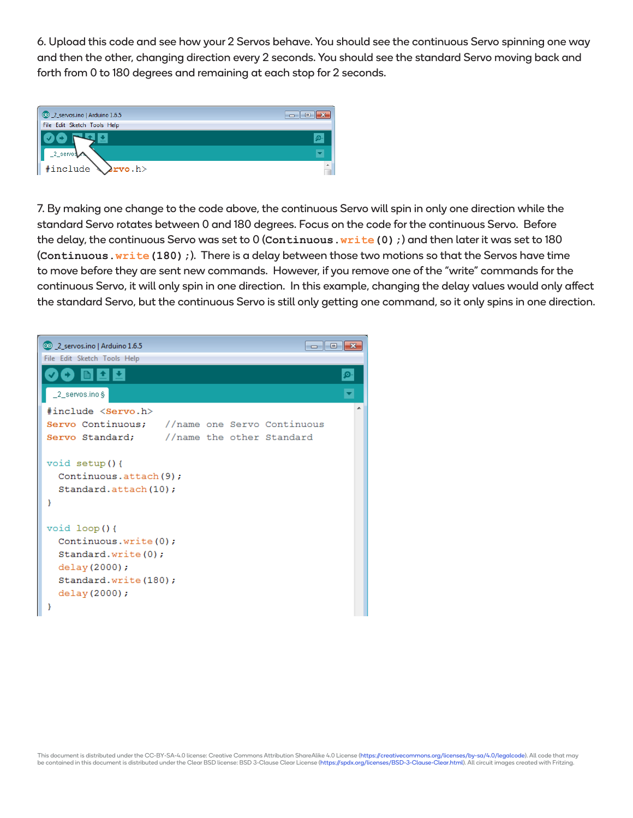6. Upload this code and see how your 2 Servos behave. You should see the continuous Servo spinning one way and then the other, changing direction every 2 seconds. You should see the standard Servo moving back and forth from 0 to 180 degrees and remaining at each stop for 2 seconds.



7. By making one change to the code above, the continuous Servo will spin in only one direction while the standard Servo rotates between 0 and 180 degrees. Focus on the code for the continuous Servo. Before the delay, the continuous Servo was set to 0 (**Continuous.write(0);**) and then later it was set to 180 (Continuous.write(180);). There is a delay between those two motions so that the Servos have time to move before they are sent new commands. However, if you remove one of the "write" commands for the continuous Servo, it will only spin in one direction. In this example, changing the delay values would only affect the standard Servo, but the continuous Servo is still only getting one command, so it only spins in one direction.

| 00 2_servos.ino   Arduino 1.6.5<br>----<br>$\mathbf{x}$<br>File Edit Sketch Tools Help                                               |
|--------------------------------------------------------------------------------------------------------------------------------------|
| ۰o                                                                                                                                   |
| _2_servos.ino §                                                                                                                      |
| #include <servo.h><br/>Servo Continuous;<br/>//name one Servo Continuous<br/>Servo Standard;<br/>//name_the_other_Standard</servo.h> |
| void $setup()$ {<br>Continuous.attach(9);<br>Standard.attach(10);<br>ł                                                               |
| void $loop()$<br>Continuous.write(0);<br>Standard.write(0);<br>delay (2000);<br>Standard.write(180);<br>delay(2000);                 |
| ł                                                                                                                                    |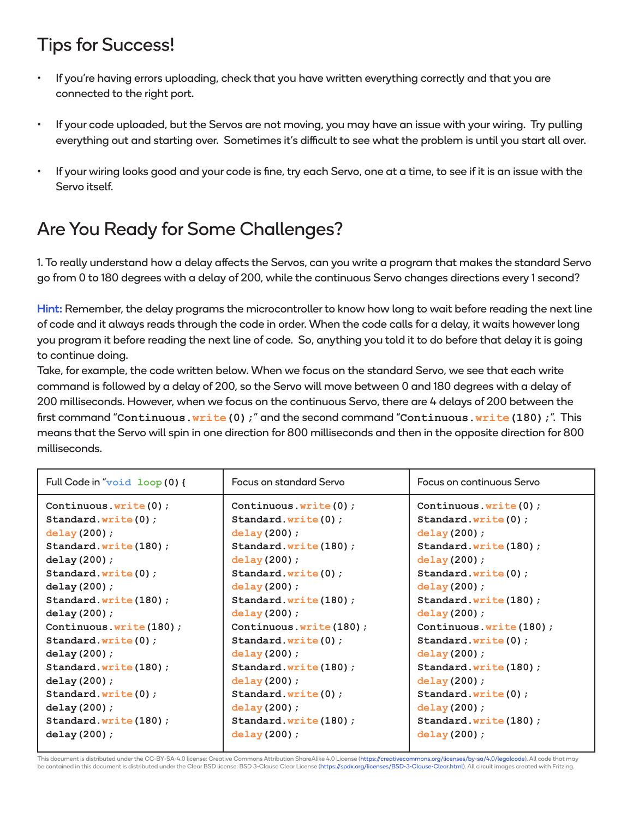# Tips for Success!

- If you're having errors uploading, check that you have written everything correctly and that you are connected to the right port.
- If your code uploaded, but the Servos are not moving, you may have an issue with your wiring. Try pulling everything out and starting over. Sometimes it's difficult to see what the problem is until you start all over.
- If your wiring looks good and your code is fine, try each Servo, one at a time, to see if it is an issue with the Servo itself.

# Are You Ready for Some Challenges?

1. To really understand how a delay affects the Servos, can you write a program that makes the standard Servo go from 0 to 180 degrees with a delay of 200, while the continuous Servo changes directions every 1 second?

Hint: Remember, the delay programs the microcontroller to know how long to wait before reading the next line of code and it always reads through the code in order. When the code calls for a delay, it waits however long you program it before reading the next line of code. So, anything you told it to do before that delay it is going to continue doing.

Take, for example, the code written below. When we focus on the standard Servo, we see that each write command is followed by a delay of 200, so the Servo will move between 0 and 180 degrees with a delay of 200 milliseconds. However, when we focus on the continuous Servo, there are 4 delays of 200 between the first command "**Continuous.write(0);**" and the second command "**Continuous.write(180);**". This means that the Servo will spin in one direction for 800 milliseconds and then in the opposite direction for 800 milliseconds.

| Full Code in "void loop (0) { | Focus on standard Servo  | Focus on continuous Servo |
|-------------------------------|--------------------------|---------------------------|
| Continuous.write $(0)$ ;      | Continuous.write $(0)$ ; | Continuous.write $(0)$ ;  |
| Standard.write(0);            | Standard.write(0);       | Standard.write(0);        |
| delay(200);                   | delay(200);              | delay(200);               |
| Standard.write(180);          | Standard.write(180);     | Standard.write(180);      |
| delay(200);                   | delay(200);              | delay (200) ;             |
| Standard.write(0);            | Standard.write(0);       | Standard.write(0);        |
| delay(200);                   | delay(200);              | delay(200);               |
| Standard.write(180);          | Standard.write(180);     | Standard.write(180);      |
| delay(200);                   | delay(200);              | delay(200);               |
| Continuous.write(180);        | Continuous.write(180);   | Continuous.write(180);    |
| Standard.write(0);            | Standard.write(0);       | Standard.write(0);        |
| delay $(200)$ ;               | delay(200);              | delay(200);               |
| Standard.write(180);          | Standard.write(180);     | Standard.write(180);      |
| delay(200);                   | delay(200);              | delay(200);               |
| Standard.write(0);            | Standard.write(0);       | Standard.write(0);        |
| delay(200);                   | delay(200);              | delay(200);               |
| Standard.write(180);          | Standard.write(180);     | Standard.write(180);      |
| delay(200);                   | delay(200);              | delay(200);               |

This document is distributed under the CC-BY-SA-4.0 license: Creative Commons Attribution ShareAlike 4.0 License (https://creativecommons.org/licenses/by-sa/4.0/legalcode). All code that may<br>be contained in this document i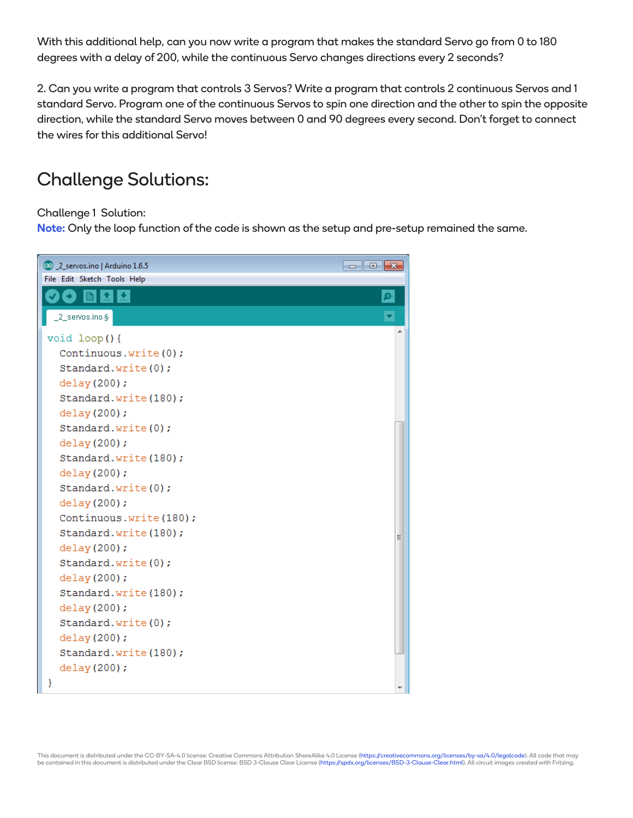With this additional help, can you now write a program that makes the standard Servo go from 0 to 180 degrees with a delay of 200, while the continuous Servo changes directions every 2 seconds?

2. Can you write a program that controls 3 Servos? Write a program that controls 2 continuous Servos and 1 standard Servo. Program one of the continuous Servos to spin one direction and the other to spin the opposite direction, while the standard Servo moves between 0 and 90 degrees every second. Don't forget to connect the wires for this additional Servo!

#### Challenge Solutions:

Challenge 1 Solution:

Note: Only the loop function of the code is shown as the setup and pre-setup remained the same.

| @ 2_servos.ino   Arduino 1.6.5 | $\begin{array}{c c c c c c} \hline \multicolumn{3}{c }{\mathbf{C}} & \multicolumn{3}{c }{\mathbf{X}} \end{array}$ |
|--------------------------------|-------------------------------------------------------------------------------------------------------------------|
| File Edit Sketch Tools Help    |                                                                                                                   |
| ▐ͺӾ<br><b>In I</b><br>М        | ۰Ø۰                                                                                                               |
| _2_servos.ino §                |                                                                                                                   |
| void loop(){                   |                                                                                                                   |
| Continuous.write(0);           |                                                                                                                   |
| Standard.write(0);             |                                                                                                                   |
| delay (200);                   |                                                                                                                   |
| Standard.write(180);           |                                                                                                                   |
| delay (200) ;                  |                                                                                                                   |
| Standard.write(0);             |                                                                                                                   |
| delay (200);                   |                                                                                                                   |
| Standard.write(180);           |                                                                                                                   |
| delay (200) ;                  |                                                                                                                   |
| Standard.write(0);             |                                                                                                                   |
| delay (200);                   |                                                                                                                   |
| Continuous.write(180);         |                                                                                                                   |
| Standard.write(180);           |                                                                                                                   |
| delay(200);                    |                                                                                                                   |
| Standard.write(0);             |                                                                                                                   |
| delay(200);                    |                                                                                                                   |
| Standard.write(180);           |                                                                                                                   |
| delay (200);                   |                                                                                                                   |
| Standard.write(0);             |                                                                                                                   |
| delay (200);                   |                                                                                                                   |
| Standard.write(180);           |                                                                                                                   |
| delay (200);                   |                                                                                                                   |
| ł                              |                                                                                                                   |